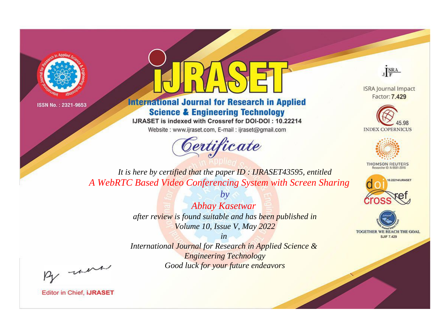



**International Journal for Research in Applied Science & Engineering Technology** 

IJRASET is indexed with Crossref for DOI-DOI: 10.22214

Website: www.ijraset.com, E-mail: ijraset@gmail.com



JERA

**ISRA Journal Impact** Factor: 7.429





**THOMSON REUTERS** 



TOGETHER WE REACH THE GOAL **SJIF 7.429** 

*It is here by certified that the paper ID : IJRASET43595, entitled A WebRTC Based Video Conferencing System with Screen Sharing*

> *by Abhay Kasetwar after review is found suitable and has been published in Volume 10, Issue V, May 2022*

> > *in*

*International Journal for Research in Applied Science & Engineering Technology Good luck for your future endeavors*

By morn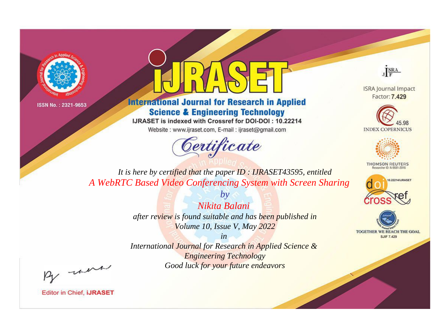



**International Journal for Research in Applied Science & Engineering Technology** 

IJRASET is indexed with Crossref for DOI-DOI: 10.22214

Website: www.ijraset.com, E-mail: ijraset@gmail.com



JERA

**ISRA Journal Impact** Factor: 7.429





**THOMSON REUTERS** 



TOGETHER WE REACH THE GOAL **SJIF 7.429** 

*It is here by certified that the paper ID : IJRASET43595, entitled A WebRTC Based Video Conferencing System with Screen Sharing*

> *Nikita Balani after review is found suitable and has been published in Volume 10, Issue V, May 2022*

*by*

*in* 

*International Journal for Research in Applied Science & Engineering Technology Good luck for your future endeavors*

By morn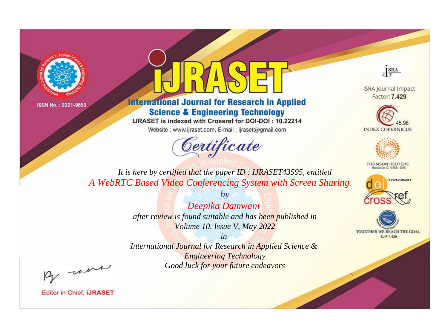



**International Journal for Research in Applied Science & Engineering Technology** 

IJRASET is indexed with Crossref for DOI-DOI: 10.22214

Website: www.ijraset.com, E-mail: ijraset@gmail.com



JERA

**ISRA Journal Impact** Factor: 7.429





**THOMSON REUTERS** 



TOGETHER WE REACH THE GOAL **SJIF 7.429** 

*It is here by certified that the paper ID : IJRASET43595, entitled A WebRTC Based Video Conferencing System with Screen Sharing*

> *by Deepika Damwani after review is found suitable and has been published in Volume 10, Issue V, May 2022*

> > *in*

*International Journal for Research in Applied Science & Engineering Technology Good luck for your future endeavors*

By morn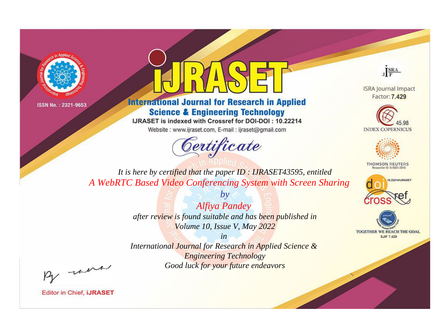



**International Journal for Research in Applied Science & Engineering Technology** 

IJRASET is indexed with Crossref for DOI-DOI: 10.22214

Website: www.ijraset.com, E-mail: ijraset@gmail.com



JERA

**ISRA Journal Impact** Factor: 7.429





**THOMSON REUTERS** 



TOGETHER WE REACH THE GOAL **SJIF 7.429** 

It is here by certified that the paper ID: IJRASET43595, entitled A WebRTC Based Video Conferencing System with Screen Sharing

> $b\nu$ **Alfiya Pandey** after review is found suitable and has been published in Volume 10, Issue V, May 2022

 $in$ International Journal for Research in Applied Science & **Engineering Technology** Good luck for your future endeavors

By morn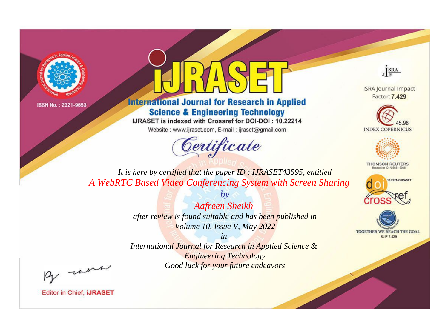



**International Journal for Research in Applied Science & Engineering Technology** 

IJRASET is indexed with Crossref for DOI-DOI: 10.22214

Website: www.ijraset.com, E-mail: ijraset@gmail.com



JERA

**ISRA Journal Impact** Factor: 7.429





**THOMSON REUTERS** 



TOGETHER WE REACH THE GOAL **SJIF 7.429** 

*It is here by certified that the paper ID : IJRASET43595, entitled A WebRTC Based Video Conferencing System with Screen Sharing*

> *by Aafreen Sheikh after review is found suitable and has been published in Volume 10, Issue V, May 2022*

> > *in*

*International Journal for Research in Applied Science & Engineering Technology Good luck for your future endeavors*

By morn